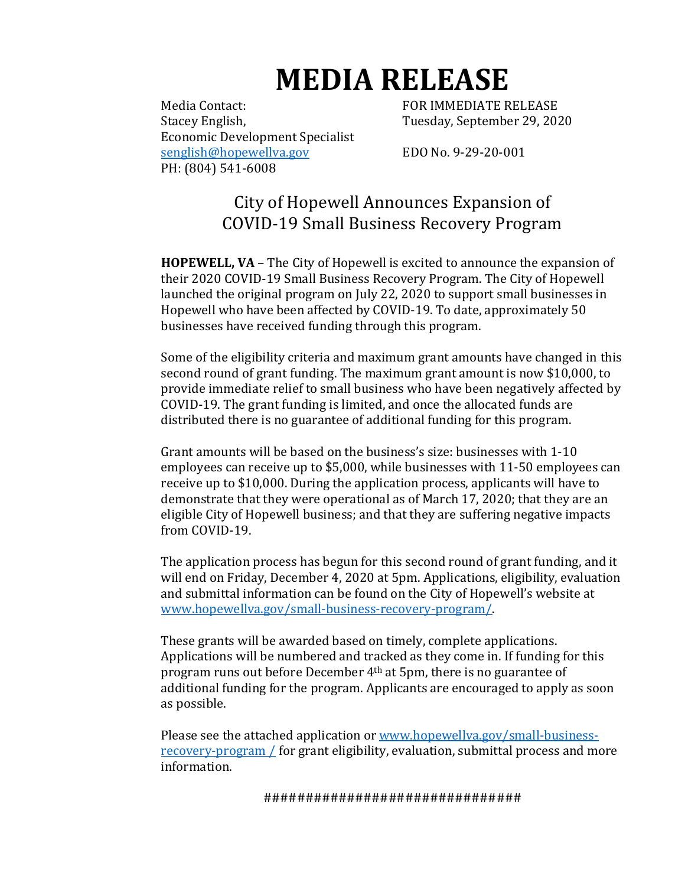# **MEDIA RELEASE**

Media Contact: The Contact of the Second POR IMMEDIATE RELEASE Stacey English, Tuesday, September 29, 2020 Economic Development Specialist [senglish@hopewellva.gov](mailto:senglish@hopewellva.gov) EDO No. 9-29-20-001 PH: (804) 541-6008

City of Hopewell Announces Expansion of COVID-19 Small Business Recovery Program

**HOPEWELL, VA** – The City of Hopewell is excited to announce the expansion of their 2020 COVID-19 Small Business Recovery Program. The City of Hopewell launched the original program on July 22, 2020 to support small businesses in Hopewell who have been affected by COVID-19. To date, approximately 50 businesses have received funding through this program.

Some of the eligibility criteria and maximum grant amounts have changed in this second round of grant funding. The maximum grant amount is now \$10,000, to provide immediate relief to small business who have been negatively affected by COVID-19. The grant funding is limited, and once the allocated funds are distributed there is no guarantee of additional funding for this program.

Grant amounts will be based on the business's size: businesses with 1-10 employees can receive up to \$5,000, while businesses with 11-50 employees can receive up to \$10,000. During the application process, applicants will have to demonstrate that they were operational as of March 17, 2020; that they are an eligible City of Hopewell business; and that they are suffering negative impacts from COVID-19.

The application process has begun for this second round of grant funding, and it will end on Friday, December 4, 2020 at 5pm. Applications, eligibility, evaluation and submittal information can be found on the City of Hopewell's website at [www.hopewellva.gov/small-business-recovery-program/.](http://www.hopewellva.gov/small-business-recovery-program/)

These grants will be awarded based on timely, complete applications. Applications will be numbered and tracked as they come in. If funding for this program runs out before December 4th at 5pm, there is no guarantee of additional funding for the program. Applicants are encouraged to apply as soon as possible.

Please see the attached application or [www.hopewellva.gov/small-business](http://www.hopewellva.gov/small-business-recovery-program%20/)[recovery-program /](http://www.hopewellva.gov/small-business-recovery-program%20/) for grant eligibility, evaluation, submittal process and more information.

###############################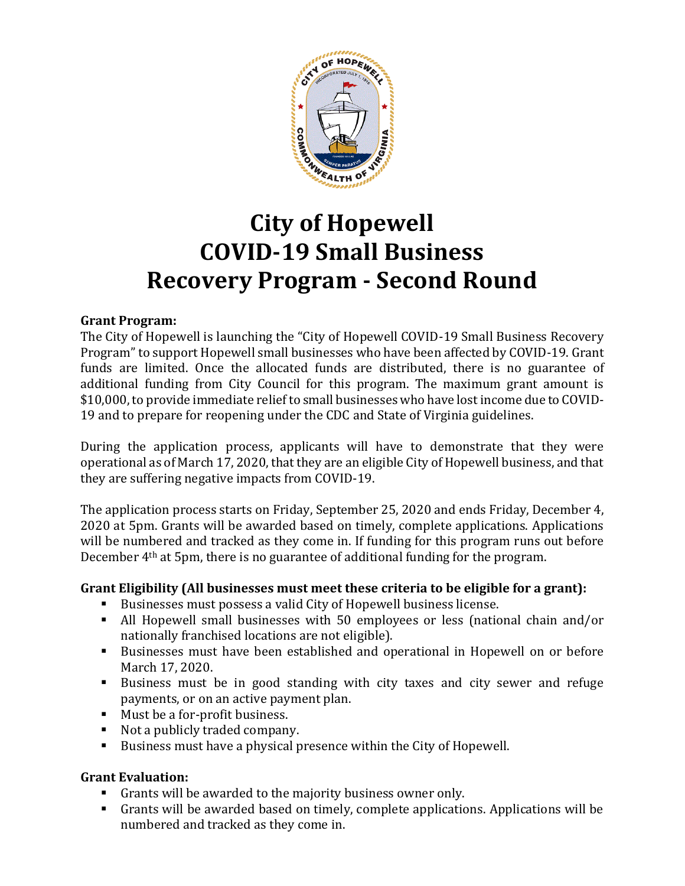

## **City of Hopewell COVID-19 Small Business Recovery Program - Second Round**

#### **Grant Program:**

The City of Hopewell is launching the "City of Hopewell COVID-19 Small Business Recovery Program" to support Hopewell small businesses who have been affected by COVID-19. Grant funds are limited. Once the allocated funds are distributed, there is no guarantee of additional funding from City Council for this program. The maximum grant amount is \$10,000, to provide immediate relief to small businesses who have lost income due to COVID-19 and to prepare for reopening under the CDC and State of Virginia guidelines.

During the application process, applicants will have to demonstrate that they were operational as of March 17, 2020, that they are an eligible City of Hopewell business, and that they are suffering negative impacts from COVID-19.

The application process starts on Friday, September 25, 2020 and ends Friday, December 4, 2020 at 5pm. Grants will be awarded based on timely, complete applications. Applications will be numbered and tracked as they come in. If funding for this program runs out before December 4th at 5pm, there is no guarantee of additional funding for the program.

#### **Grant Eligibility (All businesses must meet these criteria to be eligible for a grant):**

- Businesses must possess a valid City of Hopewell business license.
- All Hopewell small businesses with 50 employees or less (national chain and/or nationally franchised locations are not eligible).
- Businesses must have been established and operational in Hopewell on or before March 17, 2020.
- Business must be in good standing with city taxes and city sewer and refuge payments, or on an active payment plan.
- Must be a for-profit business.
- Not a publicly traded company.
- Business must have a physical presence within the City of Hopewell.

#### **Grant Evaluation:**

- Grants will be awarded to the majority business owner only.
- Grants will be awarded based on timely, complete applications. Applications will be numbered and tracked as they come in.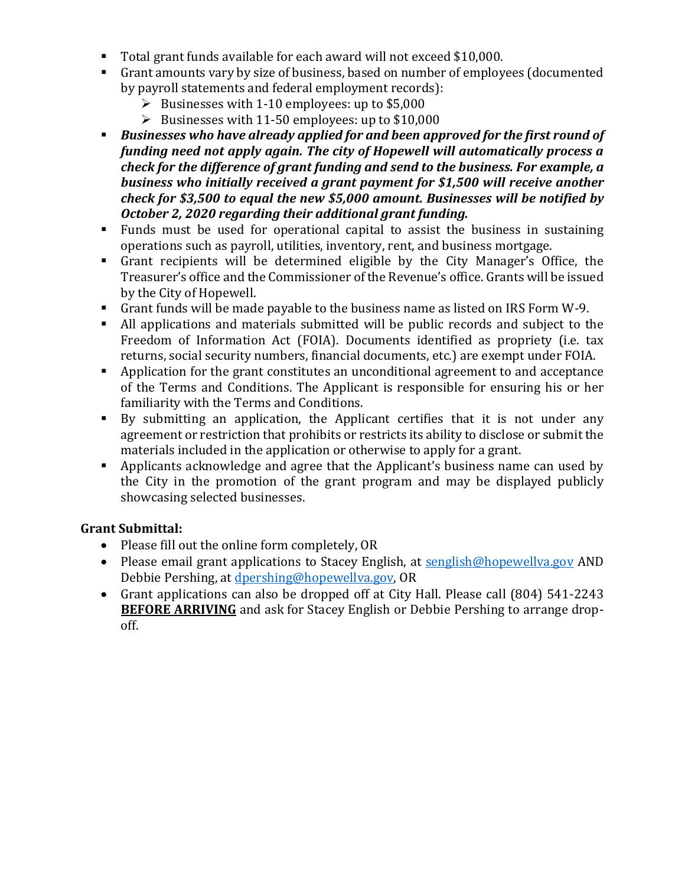- Total grant funds available for each award will not exceed \$10,000.
- Grant amounts vary by size of business, based on number of employees (documented by payroll statements and federal employment records):
	- $\triangleright$  Businesses with 1-10 employees: up to \$5,000
	- $\triangleright$  Businesses with 11-50 employees: up to \$10,000
- *Businesses who have already applied for and been approved for the first round of funding need not apply again. The city of Hopewell will automatically process a check for the difference of grant funding and send to the business. For example, a business who initially received a grant payment for \$1,500 will receive another check for \$3,500 to equal the new \$5,000 amount. Businesses will be notified by October 2, 2020 regarding their additional grant funding.*
- Funds must be used for operational capital to assist the business in sustaining operations such as payroll, utilities, inventory, rent, and business mortgage.
- Grant recipients will be determined eligible by the City Manager's Office, the Treasurer's office and the Commissioner of the Revenue's office. Grants will be issued by the City of Hopewell.
- Grant funds will be made payable to the business name as listed on IRS Form W-9.
- All applications and materials submitted will be public records and subject to the Freedom of Information Act (FOIA). Documents identified as propriety (i.e. tax returns, social security numbers, financial documents, etc.) are exempt under FOIA.
- Application for the grant constitutes an unconditional agreement to and acceptance of the Terms and Conditions. The Applicant is responsible for ensuring his or her familiarity with the Terms and Conditions.
- By submitting an application, the Applicant certifies that it is not under any agreement or restriction that prohibits or restricts its ability to disclose or submit the materials included in the application or otherwise to apply for a grant.
- Applicants acknowledge and agree that the Applicant's business name can used by the City in the promotion of the grant program and may be displayed publicly showcasing selected businesses.

### **Grant Submittal:**

- Please fill out the online form completely, OR
- Please email grant applications to Stacey English, at [senglish@hopewellva.gov](mailto:senglish@hopewellva.gov) AND Debbie Pershing, at [dpershing@hopewellva.gov,](mailto:dpershing@hopewellva.gov) OR
- Grant applications can also be dropped off at City Hall. Please call (804) 541-2243 **BEFORE ARRIVING** and ask for Stacey English or Debbie Pershing to arrange dropoff.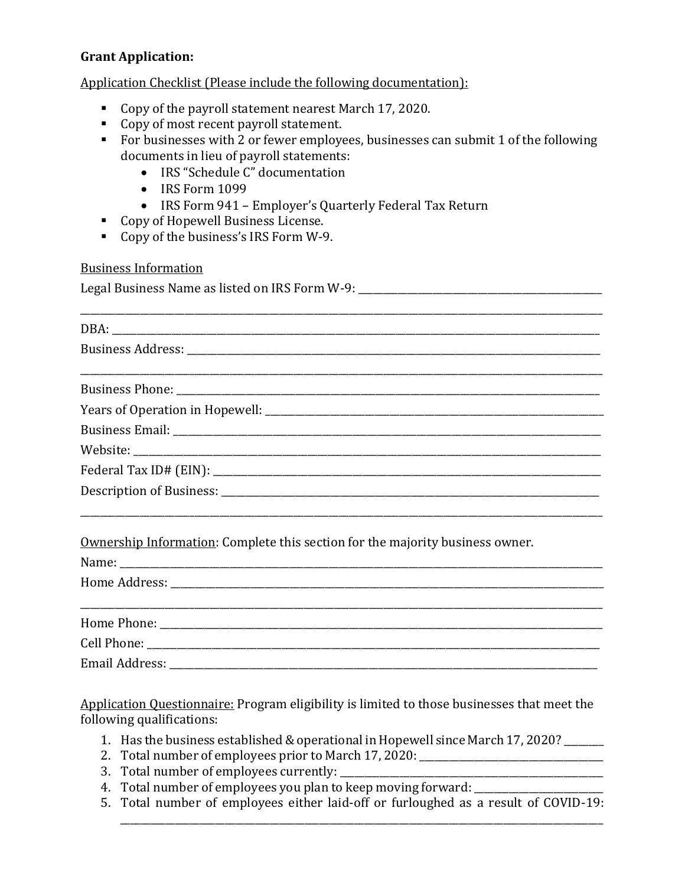#### **Grant Application:**

Application Checklist (Please include the following documentation):

- Copy of the payroll statement nearest March 17, 2020.
- Copy of most recent payroll statement.
- For businesses with 2 or fewer employees, businesses can submit 1 of the following documents in lieu of payroll statements:
	- IRS "Schedule C" documentation
	- $\bullet$  IRS Form 1099
	- IRS Form 941 Employer's Quarterly Federal Tax Return
- **Copy of Hopewell Business License.**
- Copy of the business's IRS Form W-9.

#### Business Information

| Legal Business Name as listed on IRS Form W-9: |  |
|------------------------------------------------|--|
|                                                |  |

DBA: \_\_\_\_\_\_\_\_\_\_\_\_\_\_\_\_\_\_\_\_\_\_\_\_\_\_\_\_\_\_\_\_\_\_\_\_\_\_\_\_\_\_\_\_\_\_\_\_\_\_\_\_\_\_\_\_\_\_\_\_\_\_\_\_\_\_\_\_\_\_\_\_\_\_\_\_\_\_\_\_\_\_\_\_\_\_\_\_\_\_\_\_\_\_\_\_\_\_ Business Address: \_\_\_\_\_\_\_\_\_\_\_\_\_\_\_\_\_\_\_\_\_\_\_\_\_\_\_\_\_\_\_\_\_\_\_\_\_\_\_\_\_\_\_\_\_\_\_\_\_\_\_\_\_\_\_\_\_\_\_\_\_\_\_\_\_\_\_\_\_\_\_\_\_\_\_\_\_\_\_\_\_\_\_\_\_\_\_\_\_\_\_\_\_\_\_\_\_\_\_\_\_\_\_\_\_ Business Phone: \_\_\_\_\_\_\_\_\_\_\_\_\_\_\_\_\_\_\_\_\_\_\_\_\_\_\_\_\_\_\_\_\_\_\_\_\_\_\_\_\_\_\_\_\_\_\_\_\_\_\_\_\_\_\_\_\_\_\_\_\_\_\_\_\_\_\_\_\_\_\_\_\_\_\_\_\_\_\_\_\_\_\_\_\_ Years of Operation in Hopewell: \_\_\_\_\_\_\_\_\_\_\_\_\_\_\_\_\_\_\_\_\_\_\_\_\_\_\_\_\_\_\_\_\_\_\_\_\_\_\_\_\_\_\_\_\_\_\_\_\_\_\_\_\_\_\_\_\_\_\_\_\_\_\_\_\_\_\_\_ Business Email: \_\_\_\_\_\_\_\_\_\_\_\_\_\_\_\_\_\_\_\_\_\_\_\_\_\_\_\_\_\_\_\_\_\_\_\_\_\_\_\_\_\_\_\_\_\_\_\_\_\_\_\_\_\_\_\_\_\_\_\_\_\_\_\_\_\_\_\_\_\_\_\_\_\_\_\_\_\_\_\_\_\_\_\_\_\_ Website: Federal Tax ID# (EIN): \_\_\_\_\_\_\_\_\_\_\_\_\_\_\_\_\_\_\_\_\_\_\_\_\_\_\_\_\_\_\_\_\_\_\_\_\_\_\_\_\_\_\_\_\_\_\_\_\_\_\_\_\_\_\_\_\_\_\_\_\_\_\_\_\_\_\_\_\_\_\_\_\_\_\_\_\_\_ Description of Business: \_\_\_\_\_\_\_\_\_\_\_\_\_\_\_\_\_\_\_\_\_\_\_\_\_\_\_\_\_\_\_\_\_\_\_\_\_\_\_\_\_\_\_\_\_\_\_\_\_\_\_\_\_\_\_\_\_\_\_\_\_\_\_\_\_\_\_\_\_\_\_\_\_\_\_\_\_\_\_\_\_\_\_\_\_\_\_\_\_\_\_\_\_\_\_\_\_\_\_\_\_\_\_\_\_

Ownership Information: Complete this section for the majority business owner.

| Home Phone: Now You are also a series of the phone of the series of the series of the series of the series of the series of the series of the series of the series of the series of the series of the series of the series of |  |  |
|-------------------------------------------------------------------------------------------------------------------------------------------------------------------------------------------------------------------------------|--|--|
|                                                                                                                                                                                                                               |  |  |
| Email Address:                                                                                                                                                                                                                |  |  |

Application Questionnaire: Program eligibility is limited to those businesses that meet the following qualifications:

- 1. Has the business established & operational in Hopewell since March 17, 2020?
- 2. Total number of employees prior to March 17, 2020: \_\_\_\_\_\_\_\_\_\_\_\_\_\_\_\_\_\_\_\_\_\_\_\_\_\_\_
- 3. Total number of employees currently: \_\_\_\_\_\_\_\_\_\_\_\_\_\_\_\_\_\_\_\_\_\_\_\_\_\_\_\_\_\_\_\_\_\_\_\_\_\_\_\_\_\_\_\_\_\_\_\_\_\_\_\_\_
- 4. Total number of employees you plan to keep moving forward: \_\_\_\_\_\_\_\_\_\_\_\_\_\_\_\_\_\_
- 5. Total number of employees either laid-off or furloughed as a result of COVID-19:

\_\_\_\_\_\_\_\_\_\_\_\_\_\_\_\_\_\_\_\_\_\_\_\_\_\_\_\_\_\_\_\_\_\_\_\_\_\_\_\_\_\_\_\_\_\_\_\_\_\_\_\_\_\_\_\_\_\_\_\_\_\_\_\_\_\_\_\_\_\_\_\_\_\_\_\_\_\_\_\_\_\_\_\_\_\_\_\_\_\_\_\_\_\_\_\_\_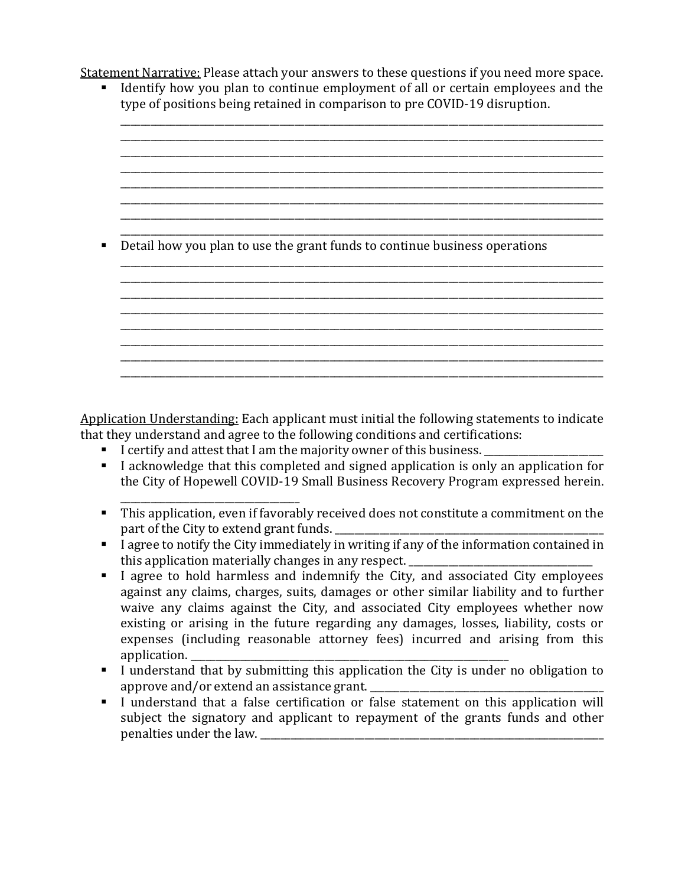Statement Narrative: Please attach your answers to these questions if you need more space.

 Identify how you plan to continue employment of all or certain employees and the type of positions being retained in comparison to pre COVID-19 disruption. \_\_\_\_\_\_\_\_\_\_\_\_\_\_\_\_\_\_\_\_\_\_\_\_\_\_\_\_\_\_\_\_\_\_\_\_\_\_\_\_\_\_\_\_\_\_\_\_\_\_\_\_\_\_\_\_\_\_\_\_\_\_\_\_\_\_\_\_\_\_\_\_\_\_\_\_\_\_\_\_\_\_\_\_\_\_\_\_\_\_\_\_\_\_\_\_\_

\_\_\_\_\_\_\_\_\_\_\_\_\_\_\_\_\_\_\_\_\_\_\_\_\_\_\_\_\_\_\_\_\_\_\_\_\_\_\_\_\_\_\_\_\_\_\_\_\_\_\_\_\_\_\_\_\_\_\_\_\_\_\_\_\_\_\_\_\_\_\_\_\_\_\_\_\_\_\_\_\_\_\_\_\_\_\_\_\_\_\_\_\_\_\_\_\_

\_\_\_\_\_\_\_\_\_\_\_\_\_\_\_\_\_\_\_\_\_\_\_\_\_\_\_\_\_\_\_\_\_\_\_\_\_\_\_\_\_\_\_\_\_\_\_\_\_\_\_\_\_\_\_\_\_\_\_\_\_\_\_\_\_\_\_\_\_\_\_\_\_\_\_\_\_\_\_\_\_\_\_\_\_\_\_\_\_\_\_\_\_\_\_\_\_

\_\_\_\_\_\_\_\_\_\_\_\_\_\_\_\_\_\_\_\_\_\_\_\_\_\_\_\_\_\_\_\_\_\_\_\_\_\_\_\_\_\_\_\_\_\_\_\_\_\_\_\_\_\_\_\_\_\_\_\_\_\_\_\_\_\_\_\_\_\_\_\_\_\_\_\_\_\_\_\_\_\_\_\_\_\_\_\_\_\_\_\_\_\_\_\_\_

\_\_\_\_\_\_\_\_\_\_\_\_\_\_\_\_\_\_\_\_\_\_\_\_\_\_\_\_\_\_\_\_\_\_\_\_\_\_\_\_\_\_\_\_\_\_\_\_\_\_\_\_\_\_\_\_\_\_\_\_\_\_\_\_\_\_\_\_\_\_\_\_\_\_\_\_\_\_\_\_\_\_\_\_\_\_\_\_\_\_\_\_\_\_\_\_\_

\_\_\_\_\_\_\_\_\_\_\_\_\_\_\_\_\_\_\_\_\_\_\_\_\_\_\_\_\_\_\_\_\_\_\_\_\_\_\_\_\_\_\_\_\_\_\_\_\_\_\_\_\_\_\_\_\_\_\_\_\_\_\_\_\_\_\_\_\_\_\_\_\_\_\_\_\_\_\_\_\_\_\_\_\_\_\_\_\_\_\_\_\_\_\_\_\_ \_\_\_\_\_\_\_\_\_\_\_\_\_\_\_\_\_\_\_\_\_\_\_\_\_\_\_\_\_\_\_\_\_\_\_\_\_\_\_\_\_\_\_\_\_\_\_\_\_\_\_\_\_\_\_\_\_\_\_\_\_\_\_\_\_\_\_\_\_\_\_\_\_\_\_\_\_\_\_\_\_\_\_\_\_\_\_\_\_\_\_\_\_\_\_\_\_

\_\_\_\_\_\_\_\_\_\_\_\_\_\_\_\_\_\_\_\_\_\_\_\_\_\_\_\_\_\_\_\_\_\_\_\_\_\_\_\_\_\_\_\_\_\_\_\_\_\_\_\_\_\_\_\_\_\_\_\_\_\_\_\_\_\_\_\_\_\_\_\_\_\_\_\_\_\_\_\_\_\_\_\_\_\_\_\_\_\_\_\_\_\_\_\_\_ \_\_\_\_\_\_\_\_\_\_\_\_\_\_\_\_\_\_\_\_\_\_\_\_\_\_\_\_\_\_\_\_\_\_\_\_\_\_\_\_\_\_\_\_\_\_\_\_\_\_\_\_\_\_\_\_\_\_\_\_\_\_\_\_\_\_\_\_\_\_\_\_\_\_\_\_\_\_\_\_\_\_\_\_\_\_\_\_\_\_\_\_\_\_\_\_\_ \_\_\_\_\_\_\_\_\_\_\_\_\_\_\_\_\_\_\_\_\_\_\_\_\_\_\_\_\_\_\_\_\_\_\_\_\_\_\_\_\_\_\_\_\_\_\_\_\_\_\_\_\_\_\_\_\_\_\_\_\_\_\_\_\_\_\_\_\_\_\_\_\_\_\_\_\_\_\_\_\_\_\_\_\_\_\_\_\_\_\_\_\_\_\_\_\_

\_\_\_\_\_\_\_\_\_\_\_\_\_\_\_\_\_\_\_\_\_\_\_\_\_\_\_\_\_\_\_\_\_\_\_\_\_\_\_\_\_\_\_\_\_\_\_\_\_\_\_\_\_\_\_\_\_\_\_\_\_\_\_\_\_\_\_\_\_\_\_\_\_\_\_\_\_\_\_\_\_\_\_\_\_\_\_\_\_\_\_\_\_\_\_\_\_

\_\_\_\_\_\_\_\_\_\_\_\_\_\_\_\_\_\_\_\_\_\_\_\_\_\_\_\_\_\_\_\_\_\_\_\_\_\_\_\_\_\_\_\_\_\_\_\_\_\_\_\_\_\_\_\_\_\_\_\_\_\_\_\_\_\_\_\_\_\_\_\_\_\_\_\_\_\_\_\_\_\_\_\_\_\_\_\_\_\_\_\_\_\_\_\_\_

\_\_\_\_\_\_\_\_\_\_\_\_\_\_\_\_\_\_\_\_\_\_\_\_\_\_\_\_\_\_\_\_\_\_\_\_\_\_\_\_\_\_\_\_\_\_\_\_\_\_\_\_\_\_\_\_\_\_\_\_\_\_\_\_\_\_\_\_\_\_\_\_\_\_\_\_\_\_\_\_\_\_\_\_\_\_\_\_\_\_\_\_\_\_\_\_\_

\_\_\_\_\_\_\_\_\_\_\_\_\_\_\_\_\_\_\_\_\_\_\_\_\_\_\_\_\_\_\_\_\_\_\_\_\_\_\_\_\_\_\_\_\_\_\_\_\_\_\_\_\_\_\_\_\_\_\_\_\_\_\_\_\_\_\_\_\_\_\_\_\_\_\_\_\_\_\_\_\_\_\_\_\_\_\_\_\_\_\_\_\_\_\_\_\_ Detail how you plan to use the grant funds to continue business operations

Application Understanding: Each applicant must initial the following statements to indicate that they understand and agree to the following conditions and certifications:

I certify and attest that I am the majority owner of this business.

\_\_\_\_\_\_\_\_\_\_\_\_\_\_\_\_\_\_\_\_\_\_\_\_\_\_\_\_\_\_\_\_\_\_\_\_

- I acknowledge that this completed and signed application is only an application for the City of Hopewell COVID-19 Small Business Recovery Program expressed herein.
- This application, even if favorably received does not constitute a commitment on the part of the City to extend grant funds.
- $\blacksquare$  I agree to notify the City immediately in writing if any of the information contained in this application materially changes in any respect.
- I agree to hold harmless and indemnify the City, and associated City employees against any claims, charges, suits, damages or other similar liability and to further waive any claims against the City, and associated City employees whether now existing or arising in the future regarding any damages, losses, liability, costs or expenses (including reasonable attorney fees) incurred and arising from this application.
- I understand that by submitting this application the City is under no obligation to approve and/or extend an assistance grant.
- I understand that a false certification or false statement on this application will subject the signatory and applicant to repayment of the grants funds and other penalties under the law.